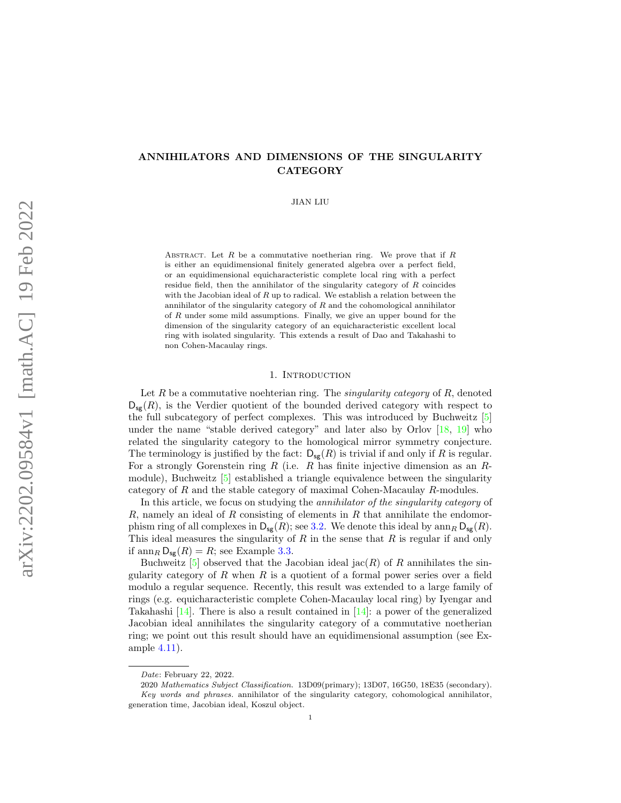# ANNIHILATORS AND DIMENSIONS OF THE SINGULARITY **CATEGORY**

JIAN LIU

ABSTRACT. Let  $R$  be a commutative noetherian ring. We prove that if  $R$ is either an equidimensional finitely generated algebra over a perfect field, or an equidimensional equicharacteristic complete local ring with a perfect residue field, then the annihilator of the singularity category of R coincides with the Jacobian ideal of  $R$  up to radical. We establish a relation between the annihilator of the singularity category of  $R$  and the cohomological annihilator of R under some mild assumptions. Finally, we give an upper bound for the dimension of the singularity category of an equicharacteristic excellent local ring with isolated singularity. This extends a result of Dao and Takahashi to non Cohen-Macaulay rings.

### 1. INTRODUCTION

Let R be a commutative noehterian ring. The *singularity category* of R, denoted  $D_{\mathbf{s}\sigma}(R)$ , is the Verdier quotient of the bounded derived category with respect to the full subcategory of perfect complexes. This was introduced by Buchweitz [\[5\]](#page-14-0) under the name "stable derived category" and later also by Orlov [\[18,](#page-14-1) [19\]](#page-14-2) who related the singularity category to the homological mirror symmetry conjecture. The terminology is justified by the fact:  $D_{\text{sg}}(R)$  is trivial if and only if R is regular. For a strongly Gorenstein ring  $R$  (i.e.  $R$  has finite injective dimension as an  $R$ module), Buchweitz [\[5\]](#page-14-0) established a triangle equivalence between the singularity category of R and the stable category of maximal Cohen-Macaulay R-modules.

In this article, we focus on studying the *annihilator of the singularity category* of R, namely an ideal of R consisting of elements in R that annihilate the endomorphism ring of all complexes in  $D_{sg}(R)$ ; see [3.2.](#page-4-0) We denote this ideal by  $\text{ann}_R D_{sg}(R)$ . This ideal measures the singularity of  $R$  in the sense that  $R$  is regular if and only if  $\operatorname{ann}_R \mathsf{D}_{\mathsf{sg}}(R) = R$ ; see Example [3.3.](#page-4-1)

Buchweitz  $[5]$  observed that the Jacobian ideal jac(R) of R annihilates the singularity category of  $R$  when  $R$  is a quotient of a formal power series over a field modulo a regular sequence. Recently, this result was extended to a large family of rings (e.g. equicharacteristic complete Cohen-Macaulay local ring) by Iyengar and Takahashi [\[14\]](#page-14-3). There is also a result contained in [14]: a power of the generalized Jacobian ideal annihilates the singularity category of a commutative noetherian ring; we point out this result should have an equidimensional assumption (see Example [4.11\)](#page-9-0).

Date: February 22, 2022.

<sup>2020</sup> Mathematics Subject Classification. 13D09(primary); 13D07, 16G50, 18E35 (secondary). Key words and phrases. annihilator of the singularity category, cohomological annihilator, generation time, Jacobian ideal, Koszul object.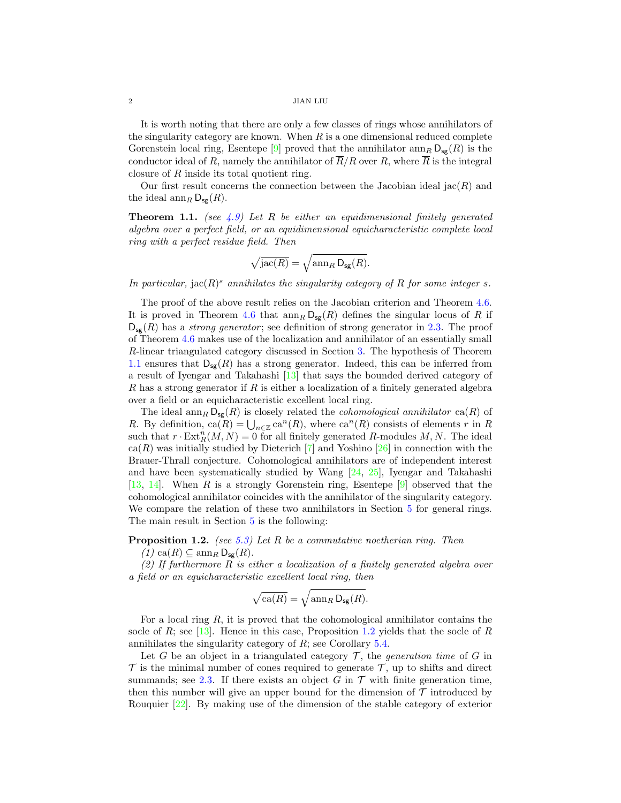It is worth noting that there are only a few classes of rings whose annihilators of the singularity category are known. When  $R$  is a one dimensional reduced complete Gorenstein local ring, Esentepe [\[9\]](#page-14-4) proved that the annihilator  $\text{ann}_R D_{\text{sg}}(R)$  is the conductor ideal of R, namely the annihilator of  $\overline{R}/R$  over R, where  $\overline{R}$  is the integral closure of R inside its total quotient ring.

Our first result concerns the connection between the Jacobian ideal  $\text{Jac}(R)$  and the ideal  $\dim_R \mathsf{D}_{\mathsf{sg}}(R)$ .

<span id="page-1-0"></span>**Theorem 1.1.** (see [4.9\)](#page-8-0) Let R be either an equidimensional finitely generated algebra over a perfect field, or an equidimensional equicharacteristic complete local ring with a perfect residue field. Then

$$
\sqrt{\mathrm{jac}(R)} = \sqrt{\mathrm{ann}_R \, \mathsf{D}_{\mathsf{sg}}(R)}.
$$

In particular, jac( $R$ )<sup>s</sup> annihilates the singularity category of R for some integer s.

The proof of the above result relies on the Jacobian criterion and Theorem [4.6.](#page-8-1) It is proved in Theorem [4.6](#page-8-1) that  $\text{ann}_R D_{\text{sg}}(R)$  defines the singular locus of R if  $D_{\text{sg}}(R)$  has a strong generator; see definition of strong generator in [2.3.](#page-3-0) The proof of Theorem [4.6](#page-8-1) makes use of the localization and annihilator of an essentially small R-linear triangulated category discussed in Section [3.](#page-3-1) The hypothesis of Theorem [1.1](#page-1-0) ensures that  $D_{\text{sg}}(R)$  has a strong generator. Indeed, this can be inferred from a result of Iyengar and Takahashi [\[13\]](#page-14-5) that says the bounded derived category of R has a strong generator if R is either a localization of a finitely generated algebra over a field or an equicharacteristic excellent local ring.

The ideal  $\text{ann}_R D_{\text{se}}(R)$  is closely related the *cohomological annihilator* ca(R) of R. By definition,  $ca(R) = \bigcup_{n \in \mathbb{Z}} ca^n(R)$ , where  $ca^n(R)$  consists of elements r in R such that  $r \cdot \text{Ext}_{R}^{n}(M, N) = 0$  for all finitely generated R-modules M, N. The ideal  $ca(R)$  was initially studied by Dieterich [\[7\]](#page-14-6) and Yoshino [\[26\]](#page-15-0) in connection with the Brauer-Thrall conjecture. Cohomological annihilators are of independent interest and have been systematically studied by Wang [\[24,](#page-15-1) [25\]](#page-15-2), Iyengar and Takahashi [\[13,](#page-14-5) [14\]](#page-14-3). When R is a strongly Gorenstein ring, Esentepe [\[9\]](#page-14-4) observed that the cohomological annihilator coincides with the annihilator of the singularity category. We compare the relation of these two annihilators in Section [5](#page-9-1) for general rings. The main result in Section [5](#page-9-1) is the following:

<span id="page-1-1"></span>**Proposition 1.2.** (see [5.3\)](#page-10-0) Let R be a commutative noetherian ring. Then

 $(1)$  ca $(R) \subseteq \operatorname{ann}_R \mathsf{D}_{\mathsf{se}}(R)$ .

(2) If furthermore  $R$  is either a localization of a finitely generated algebra over a field or an equicharacteristic excellent local ring, then

$$
\sqrt{\text{ca}(R)} = \sqrt{\text{ann}_{R} \, \mathsf{D}_{\text{sg}}(R)}.
$$

For a local ring  $R$ , it is proved that the cohomological annihilator contains the socle of R; see [\[13\]](#page-14-5). Hence in this case, Proposition [1.2](#page-1-1) yields that the socle of R annihilates the singularity category of R; see Corollary [5.4.](#page-10-1)

Let G be an object in a triangulated category  $\mathcal{T}$ , the *generation time* of G in  $\mathcal T$  is the minimal number of cones required to generate  $\mathcal T$ , up to shifts and direct summands; see [2.3.](#page-3-0) If there exists an object G in  $\mathcal T$  with finite generation time, then this number will give an upper bound for the dimension of  $\mathcal T$  introduced by Rouquier [\[22\]](#page-14-7). By making use of the dimension of the stable category of exterior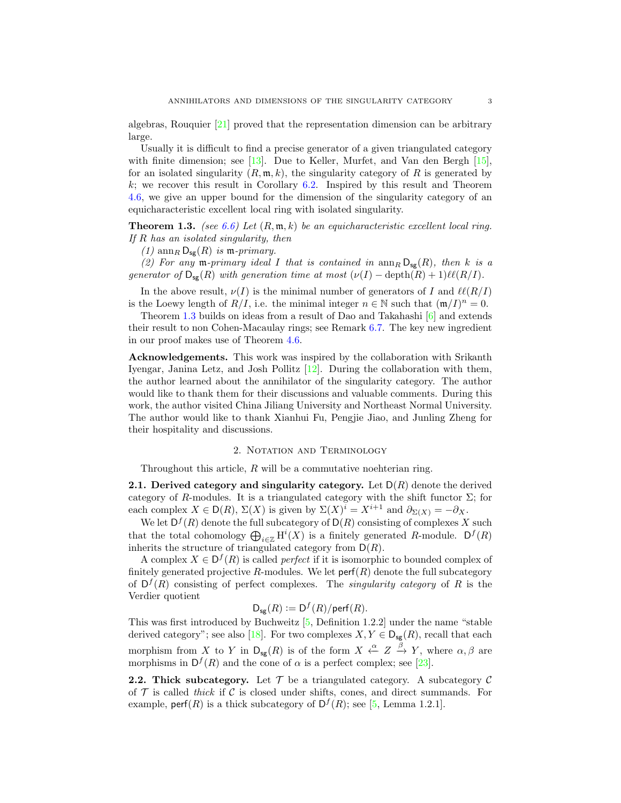algebras, Rouquier [\[21\]](#page-14-8) proved that the representation dimension can be arbitrary large.

Usually it is difficult to find a precise generator of a given triangulated category with finite dimension; see [\[13\]](#page-14-5). Due to Keller, Murfet, and Van den Bergh [\[15\]](#page-14-9), for an isolated singularity  $(R, \mathfrak{m}, k)$ , the singularity category of R is generated by  $k$ ; we recover this result in Corollary [6.2.](#page-12-0) Inspired by this result and Theorem [4.6,](#page-8-1) we give an upper bound for the dimension of the singularity category of an equicharacteristic excellent local ring with isolated singularity.

<span id="page-2-0"></span>**Theorem 1.3.** (see [6.6\)](#page-13-0) Let  $(R, m, k)$  be an equicharacteristic excellent local ring. If R has an isolated singularity, then

(1)  $\text{ann}_R \mathsf{D}_{\text{sg}}(R)$  is  $\mathfrak{m}\text{-}primary$ .

(2) For any m-primary ideal I that is contained in  $\text{ann}_R D_{\text{sg}}(R)$ , then k is a generator of  $\mathsf{D}_{\mathsf{sg}}(R)$  with generation time at most  $(\nu(I) - \text{depth}(R) + 1)\ell(\mathcal{R}/I).$ 

In the above result,  $\nu(I)$  is the minimal number of generators of I and  $\ell\ell(R/I)$ is the Loewy length of  $R/I$ , i.e. the minimal integer  $n \in \mathbb{N}$  such that  $(\mathfrak{m}/I)^n = 0$ .

Theorem [1.3](#page-2-0) builds on ideas from a result of Dao and Takahashi [\[6\]](#page-14-10) and extends their result to non Cohen-Macaulay rings; see Remark [6.7.](#page-13-1) The key new ingredient in our proof makes use of Theorem [4.6.](#page-8-1)

Acknowledgements. This work was inspired by the collaboration with Srikanth Iyengar, Janina Letz, and Josh Pollitz [\[12\]](#page-14-11). During the collaboration with them, the author learned about the annihilator of the singularity category. The author would like to thank them for their discussions and valuable comments. During this work, the author visited China Jiliang University and Northeast Normal University. The author would like to thank Xianhui Fu, Pengjie Jiao, and Junling Zheng for their hospitality and discussions.

## 2. Notation and Terminology

Throughout this article,  $R$  will be a commutative noehterian ring.

2.1. Derived category and singularity category. Let  $D(R)$  denote the derived category of R-modules. It is a triangulated category with the shift functor  $\Sigma$ ; for each complex  $X \in D(R)$ ,  $\Sigma(X)$  is given by  $\Sigma(X)^{i} = X^{i+1}$  and  $\partial_{\Sigma(X)} = -\partial_{X}$ .

We let  $D^f(R)$  denote the full subcategory of  $D(R)$  consisting of complexes X such that the total cohomology  $\bigoplus_{i\in\mathbb{Z}} H^i(X)$  is a finitely generated R-module.  $D^f(R)$ inherits the structure of triangulated category from  $D(R)$ .

A complex  $X \in D^f(R)$  is called *perfect* if it is isomorphic to bounded complex of finitely generated projective R-modules. We let  $\text{perf}(R)$  denote the full subcategory of  $D^f(R)$  consisting of perfect complexes. The *singularity category* of R is the Verdier quotient

$$
\mathsf{D}_{\mathsf{sg}}(R) := \mathsf{D}^f(R)/\mathsf{perf}(R).
$$

This was first introduced by Buchweitz [\[5,](#page-14-0) Definition 1.2.2] under the name "stable derived category"; see also [\[18\]](#page-14-1). For two complexes  $X, Y \in D_{sg}(R)$ , recall that each morphism from X to Y in  $D_{sg}(R)$  is of the form  $X \stackrel{\alpha}{\leftarrow} Z \stackrel{\beta}{\rightarrow} Y$ , where  $\alpha, \beta$  are morphisms in  $D^f(R)$  and the cone of  $\alpha$  is a perfect complex; see [\[23\]](#page-14-12).

**2.2. Thick subcategory.** Let  $\mathcal{T}$  be a triangulated category. A subcategory  $\mathcal{C}$ of  $\mathcal T$  is called thick if  $\mathcal C$  is closed under shifts, cones, and direct summands. For example, perf(R) is a thick subcategory of  $D^f(R)$ ; see [\[5,](#page-14-0) Lemma 1.2.1].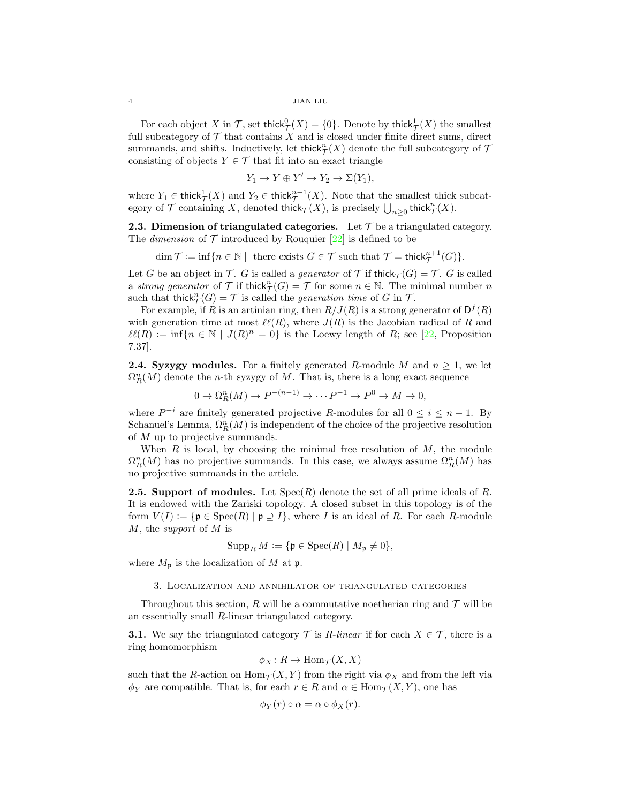For each object X in  $\mathcal{T}$ , set thick $_{\mathcal{T}}^0(X) = \{0\}$ . Denote by thick $_{\mathcal{T}}^1(X)$  the smallest full subcategory of  $\mathcal T$  that contains  $X$  and is closed under finite direct sums, direct summands, and shifts. Inductively, let thick  ${}^n_T(X)$  denote the full subcategory of  $\mathcal T$ consisting of objects  $Y \in \mathcal{T}$  that fit into an exact triangle

$$
Y_1 \to Y \oplus Y' \to Y_2 \to \Sigma(Y_1),
$$

where  $Y_1 \in \text{thick}^1_{\mathcal{T}}(X)$  and  $Y_2 \in \text{thick}^{n-1}_{\mathcal{T}}(X)$ . Note that the smallest thick subcategory of  $\mathcal T$  containing X, denoted thick $\tau(X)$ , is precisely  $\bigcup_{n\geq 0}$  thick $^n_{\mathcal T}(X)$ .

<span id="page-3-0"></span>**2.3. Dimension of triangulated categories.** Let  $\mathcal{T}$  be a triangulated category. The *dimension* of  $\mathcal T$  introduced by Rouquier [\[22\]](#page-14-7) is defined to be

$$
\dim \mathcal{T} := \inf \{ n \in \mathbb{N} \mid \text{ there exists } G \in \mathcal{T} \text{ such that } \mathcal{T} = \text{thick}_{\mathcal{T}}^{n+1}(G) \}.
$$

Let G be an object in T. G is called a *generator* of T if thick $\tau(G) = T$ . G is called a strong generator of  $\mathcal T$  if thick $_{\mathcal T}^n(G) = \mathcal T$  for some  $n \in \mathbb N$ . The minimal number n such that thick $_{\mathcal{T}}^{n}(G) = \mathcal{T}$  is called the *generation time* of G in T.

For example, if R is an artinian ring, then  $R/J(R)$  is a strong generator of  $D^f(R)$ with generation time at most  $\ell(\mathcal{R})$ , where  $J(R)$  is the Jacobian radical of R and  $\ell(\mathcal{R}) := \inf\{n \in \mathbb{N} \mid J(R)^n = 0\}$  is the Loewy length of R; see [\[22,](#page-14-7) Proposition 7.37].

<span id="page-3-2"></span>**2.4. Syzygy modules.** For a finitely generated R-module M and  $n \geq 1$ , we let  $\Omega_R^n(M)$  denote the *n*-th syzygy of M. That is, there is a long exact sequence

$$
0 \to \Omega_R^n(M) \to P^{-(n-1)} \to \cdots P^{-1} \to P^0 \to M \to 0,
$$

where  $P^{-i}$  are finitely generated projective R-modules for all  $0 \le i \le n-1$ . By Schanuel's Lemma,  $\Omega_R^n(M)$  is independent of the choice of the projective resolution of M up to projective summands.

When  $R$  is local, by choosing the minimal free resolution of  $M$ , the module  $\Omega_R^n(M)$  has no projective summands. In this case, we always assume  $\Omega_R^n(M)$  has no projective summands in the article.

**2.5. Support of modules.** Let  $Spec(R)$  denote the set of all prime ideals of R. It is endowed with the Zariski topology. A closed subset in this topology is of the form  $V(I) := \{ \mathfrak{p} \in \mathrm{Spec}(R) \mid \mathfrak{p} \supseteq I \}$ , where I is an ideal of R. For each R-module M, the support of M is

$$
\operatorname{Supp}_R M := \{ \mathfrak{p} \in \operatorname{Spec}(R) \mid M_{\mathfrak{p}} \neq 0 \},
$$

where  $M_{\mathfrak{p}}$  is the localization of M at  $\mathfrak{p}$ .

## 3. Localization and annihilator of triangulated categories

<span id="page-3-1"></span>Throughout this section, R will be a commutative noetherian ring and  $\mathcal T$  will be an essentially small R-linear triangulated category.

**3.1.** We say the triangulated category  $\mathcal{T}$  is R-linear if for each  $X \in \mathcal{T}$ , there is a ring homomorphism

$$
\phi_X \colon R \to \text{Hom}_{\mathcal{T}}(X, X)
$$

such that the R-action on  $\text{Hom}_{\mathcal{T}}(X, Y)$  from the right via  $\phi_X$  and from the left via  $\phi_Y$  are compatible. That is, for each  $r \in R$  and  $\alpha \in \text{Hom}_{\mathcal{T}}(X, Y)$ , one has

$$
\phi_Y(r) \circ \alpha = \alpha \circ \phi_X(r).
$$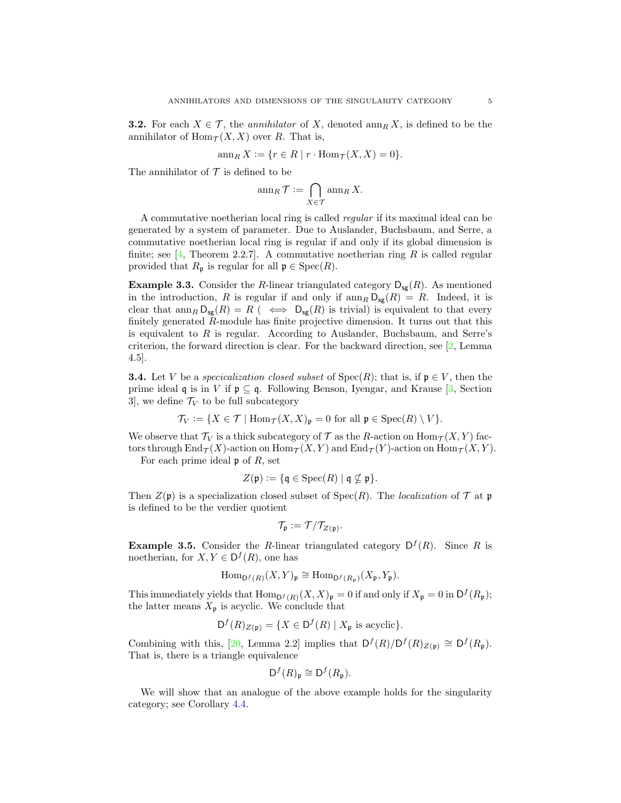<span id="page-4-0"></span>**3.2.** For each  $X \in \mathcal{T}$ , the *annihilator* of X, denoted  $\text{ann}_R X$ , is defined to be the annihilator of  $\text{Hom}_{\mathcal{T}}(X, X)$  over R. That is,

$$
\operatorname{ann}_R X := \{ r \in R \mid r \cdot \operatorname{Hom}_{\mathcal{T}}(X, X) = 0 \}.
$$

The annihilator of  $\mathcal T$  is defined to be

$$
\operatorname{ann}_R \mathcal{T} := \bigcap_{X \in \mathcal{T}} \operatorname{ann}_R X.
$$

A commutative noetherian local ring is called regular if its maximal ideal can be generated by a system of parameter. Due to Auslander, Buchsbaum, and Serre, a commutative noetherian local ring is regular if and only if its global dimension is finite; see  $\vert 4$ , Theorem 2.2.7. A commutative noetherian ring R is called regular provided that  $R_{\mathfrak{p}}$  is regular for all  $\mathfrak{p} \in \text{Spec}(R)$ .

<span id="page-4-1"></span>**Example 3.3.** Consider the R-linear triangulated category  $D_{\text{se}}(R)$ . As mentioned in the introduction, R is regular if and only if  $\text{ann}_R D_{\text{sg}}(R) = R$ . Indeed, it is clear that  $\text{ann}_R D_{\text{sg}}(R) = R$  ( $\iff D_{\text{sg}}(R)$  is trivial) is equivalent to that every finitely generated R-module has finite projective dimension. It turns out that this is equivalent to R is regular. According to Auslander, Buchsbaum, and Serre's criterion, the forward direction is clear. For the backward direction, see [\[2,](#page-14-14) Lemma 4.5].

**3.4.** Let V be a specicalization closed subset of  $Spec(R)$ ; that is, if  $p \in V$ , then the prime ideal q is in V if  $\mathfrak{p} \subseteq \mathfrak{q}$ . Following Benson, Iyengar, and Krause [\[3,](#page-14-15) Section 3, we define  $\mathcal{T}_V$  to be full subcategory

$$
\mathcal{T}_V := \{ X \in \mathcal{T} \mid \text{Hom}_{\mathcal{T}}(X, X)_{\mathfrak{p}} = 0 \text{ for all } \mathfrak{p} \in \text{Spec}(R) \setminus V \}.
$$

We observe that  $\mathcal{T}_V$  is a thick subcategory of  $\mathcal T$  as the R-action on  $\text{Hom}_{\mathcal T}(X, Y)$  factors through  $\text{End}_{\mathcal{T}}(X)$ -action on  $\text{Hom}_{\mathcal{T}}(X, Y)$  and  $\text{End}_{\mathcal{T}}(Y)$ -action on  $\text{Hom}_{\mathcal{T}}(X, Y)$ .

For each prime ideal  $\mathfrak p$  of R, set

$$
Z(\mathfrak{p}) := \{ \mathfrak{q} \in \mathrm{Spec}(R) \mid \mathfrak{q} \nsubseteq \mathfrak{p} \}.
$$

Then  $Z(\mathfrak{p})$  is a specialization closed subset of  $Spec(R)$ . The *localization* of  $\mathcal T$  at  $\mathfrak{p}$ is defined to be the verdier quotient

$$
\mathcal{T}_{\mathfrak{p}} := \mathcal{T}/\mathcal{T}_{Z(\mathfrak{p})}.
$$

**Example 3.5.** Consider the R-linear triangulated category  $D^f(R)$ . Since R is noetherian, for  $X, Y \in D^f(R)$ , one has

$$
\mathrm{Hom}_{\mathsf{D}^f(R)}(X,Y)_{\mathfrak{p}} \cong \mathrm{Hom}_{\mathsf{D}^f(R_{\mathfrak{p}})}(X_{\mathfrak{p}},Y_{\mathfrak{p}}).
$$

This immediately yields that  $\text{Hom}_{D^f(R)}(X,X)_{\mathfrak{p}} = 0$  if and only if  $X_{\mathfrak{p}} = 0$  in  $D^f(R_{\mathfrak{p}})$ ; the latter means  $X_{\mathfrak{p}}$  is acyclic. We conclude that

$$
\mathsf{D}^f(R)_{Z(\mathfrak{p})} = \{ X \in \mathsf{D}^f(R) \mid X_{\mathfrak{p}} \text{ is acyclic} \}.
$$

Combining with this, [\[20,](#page-14-16) Lemma 2.2] implies that  $D^f(R)/D^f(R)_{Z(\mathfrak{p})} \cong D^f(R_{\mathfrak{p}})$ . That is, there is a triangle equivalence

$$
\mathsf{D}^f(R)_{\mathfrak{p}} \cong \mathsf{D}^f(R_{\mathfrak{p}}).
$$

We will show that an analogue of the above example holds for the singularity category; see Corollary [4.4.](#page-7-0)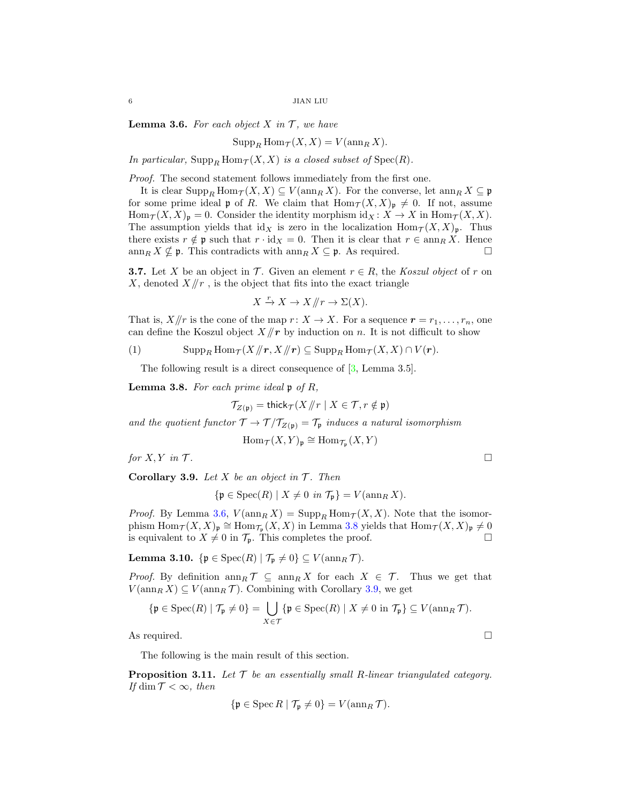<span id="page-5-0"></span>**Lemma 3.6.** For each object  $X$  in  $T$ , we have

$$
\operatorname{Supp}_R \operatorname{Hom}_{\mathcal{T}}(X,X) = V(\operatorname{ann}_R X).
$$

In particular,  $\text{Supp}_R \text{Hom}_{\mathcal{T}}(X, X)$  is a closed subset of  $\text{Spec}(R)$ .

Proof. The second statement follows immediately from the first one.

It is clear  $\text{Supp}_R \text{Hom}_{\mathcal{T}}(X, X) \subseteq V(\text{ann}_R X)$ . For the converse, let  $\text{ann}_R X \subseteq \mathfrak{p}$ for some prime ideal  $\mathfrak p$  of R. We claim that  $\text{Hom}_{\mathcal T}(X, X)_{\mathfrak p}\neq 0$ . If not, assume  $\text{Hom}_{\mathcal{T}}(X,X)_{\mathfrak{p}} = 0.$  Consider the identity morphism  $\text{id}_X \colon X \to X$  in  $\text{Hom}_{\mathcal{T}}(X,X)$ . The assumption yields that  $\mathrm{id}_X$  is zero in the localization  $\mathrm{Hom}_\mathcal{T}(X, X)_{\mathfrak{p}}$ . Thus there exists  $r \notin \mathfrak{p}$  such that  $r \cdot id_X = 0$ . Then it is clear that  $r \in \operatorname{ann}_R X$ . Hence  $\dim_R X \nsubseteq \mathfrak{p}$ . This contradicts with  $\dim_R X \subseteq \mathfrak{p}$ . As required.

<span id="page-5-6"></span>**3.7.** Let X be an object in T. Given an element  $r \in R$ , the Koszul object of r on X, denoted  $X/\!\!/r$ , is the object that fits into the exact triangle

$$
X \xrightarrow{r} X \to X/\!\!/r \to \Sigma(X).
$$

That is,  $X/\!\!/r$  is the cone of the map  $r: X \to X$ . For a sequence  $r = r_1, \ldots, r_n$ , one can define the Koszul object  $X/\llbracket r \rrbracket$  by induction on n. It is not difficult to show

(1) 
$$
\operatorname{Supp}_R \operatorname{Hom}_{\mathcal{T}}(X/\hspace{-1.5 mm}/r, X/\hspace{-1.5 mm}/r) \subseteq \operatorname{Supp}_R \operatorname{Hom}_{\mathcal{T}}(X, X) \cap V(r).
$$

<span id="page-5-5"></span>The following result is a direct consequence of [\[3,](#page-14-15) Lemma 3.5].

<span id="page-5-1"></span>**Lemma 3.8.** For each prime ideal  $\mathfrak{p}$  of R,

$$
\mathcal{T}_{Z(\mathfrak{p})} = \mathsf{thick}_{\mathcal{T}}(X/\hspace{-3pt}/r \mid X \in \mathcal{T}, r \notin \mathfrak{p})
$$

and the quotient functor  $\mathcal{T} \to \mathcal{T}/\mathcal{T}_{Z(\mathfrak{p})} = \mathcal{T}_{\mathfrak{p}}$  induces a natural isomorphism

$$
\operatorname{Hom}\nolimits_{\mathcal T}(X,Y)_{\mathfrak p}\cong\operatorname{Hom}\nolimits_{{\mathcal T}_{\mathfrak p}}(X,Y)
$$

for  $X, Y$  in  $T$ .

<span id="page-5-2"></span>Corollary 3.9. Let X be an object in  $T$ . Then

 ${\mathfrak{p}} \in \operatorname{Spec}(R) \mid X \neq 0 \text{ in } \mathcal{T}_{\mathfrak{p}} = V(\operatorname{ann}_R X).$ 

*Proof.* By Lemma [3.6,](#page-5-0)  $V(\operatorname{ann}_RX) = \operatorname{Supp}_R \operatorname{Hom}_{\mathcal{T}}(X,X)$ . Note that the isomorphism  $\text{Hom}_{\mathcal{T}}(X,X)_{\mathfrak{p}} \cong \text{Hom}_{\mathcal{T}_{\mathfrak{p}}}(X,X)$  in Lemma [3.8](#page-5-1) yields that  $\text{Hom}_{\mathcal{T}}(X,X)_{\mathfrak{p}} \neq 0$ is equivalent to  $X \neq 0$  in  $\mathcal{T}_{p}$ . This completes the proof.

<span id="page-5-3"></span>Lemma 3.10. { $\mathfrak{p} \in \text{Spec}(R) \mid \mathcal{T}_{\mathfrak{p}} \neq 0$ }  $\subseteq V(\text{ann}_R \mathcal{T})$ .

*Proof.* By definition  $\text{ann}_R \mathcal{T} \subseteq \text{ann}_R X$  for each  $X \in \mathcal{T}$ . Thus we get that  $V(\operatorname{ann}_RX) \subseteq V(\operatorname{ann}_R \mathcal{T})$ . Combining with Corollary [3.9,](#page-5-2) we get

$$
\{\mathfrak{p} \in \operatorname{Spec}(R) \mid \mathcal{T}_{\mathfrak{p}} \neq 0\} = \bigcup_{X \in \mathcal{T}} \{\mathfrak{p} \in \operatorname{Spec}(R) \mid X \neq 0 \text{ in } \mathcal{T}_{\mathfrak{p}}\} \subseteq V(\operatorname{ann}_R \mathcal{T}).
$$

As required.  $\Box$ 

The following is the main result of this section.

<span id="page-5-4"></span>**Proposition 3.11.** Let  $\mathcal T$  be an essentially small R-linear triangulated category. If dim  $T < \infty$ , then

$$
\{\mathfrak{p} \in \operatorname{Spec} R \mid \mathcal{T}_{\mathfrak{p}} \neq 0\} = V(\operatorname{ann}_R \mathcal{T}).
$$

$$
\qquad \qquad \Box
$$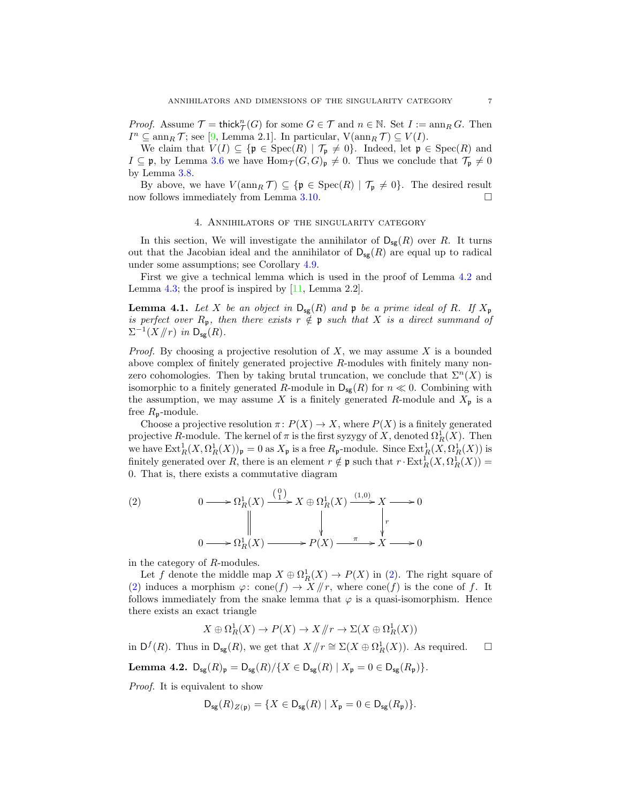*Proof.* Assume  $\mathcal{T} = \text{thick}_{\mathcal{T}}^n(G)$  for some  $G \in \mathcal{T}$  and  $n \in \mathbb{N}$ . Set  $I := \text{ann}_R G$ . Then  $I^n \subseteq \text{ann}_R \mathcal{T}$ ; see [\[9,](#page-14-4) Lemma 2.1]. In particular,  $V(\text{ann}_R \mathcal{T}) \subseteq V(I)$ .

We claim that  $V(I) \subseteq {\mathfrak{p}} \in \text{Spec}(R) \mid \mathcal{T}_{\mathfrak{p}} \neq 0$ . Indeed, let  $\mathfrak{p} \in \text{Spec}(R)$  and  $I \subseteq \mathfrak{p}$ , by Lemma [3.6](#page-5-0) we have  $\text{Hom}_{\mathcal{T}}(G, G)_{\mathfrak{p}} \neq 0$ . Thus we conclude that  $\mathcal{T}_{\mathfrak{p}} \neq 0$ by Lemma [3.8.](#page-5-1)

By above, we have  $V(\operatorname{ann}_R \mathcal{T}) \subseteq {\mathfrak{p} \in \operatorname{Spec}(R) \mid \mathcal{T}_{\mathfrak{p}} \neq 0}.$  The desired result now follows immediately from Lemma [3.10.](#page-5-3)

## 4. Annihilators of the singularity category

In this section, We will investigate the annihilator of  $D_{sg}(R)$  over R. It turns out that the Jacobian ideal and the annihilator of  $D_{\text{sg}}(R)$  are equal up to radical under some assumptions; see Corollary [4.9.](#page-8-0)

First we give a technical lemma which is used in the proof of Lemma [4.2](#page-6-0) and Lemma [4.3;](#page-7-1) the proof is inspired by  $[11, \text{Lemma } 2.2]$  $[11, \text{Lemma } 2.2]$ .

<span id="page-6-2"></span>**Lemma 4.1.** Let X be an object in  $D_{sg}(R)$  and p be a prime ideal of R. If  $X_p$ is perfect over  $R_p$ , then there exists  $r \notin \mathfrak{p}$  such that X is a direct summand of  $\Sigma^{-1}(X/\!\!/r)$  in  $\mathsf{D}_{\mathsf{sg}}(R)$ .

*Proof.* By choosing a projective resolution of  $X$ , we may assume  $X$  is a bounded above complex of finitely generated projective R-modules with finitely many nonzero cohomologies. Then by taking brutal truncation, we conclude that  $\Sigma^{n}(X)$  is isomorphic to a finitely generated R-module in  $D_{\text{sg}}(R)$  for  $n \ll 0$ . Combining with the assumption, we may assume X is a finitely generated R-module and  $X_{\mathfrak{p}}$  is a free  $R_p$ -module.

Choose a projective resolution  $\pi: P(X) \to X$ , where  $P(X)$  is a finitely generated projective R-module. The kernel of  $\pi$  is the first syzygy of X, denoted  $\Omega_R^1(X)$ . Then we have  $\text{Ext}^1_R(X, \Omega^1_R(X))_{\mathfrak{p}} = 0$  as  $X_{\mathfrak{p}}$  is a free  $R_{\mathfrak{p}}$ -module. Since  $\text{Ext}^1_R(X, \Omega^1_R(X))$  is finitely generated over R, there is an element  $r \notin \mathfrak{p}$  such that  $r \cdot \text{Ext}^1_R(X, \Omega^1_R(X)) =$ 0. That is, there exists a commutative diagram

<span id="page-6-1"></span>(2) 
$$
0 \longrightarrow \Omega_R^1(X) \xrightarrow{\binom{0}{1}} X \oplus \Omega_R^1(X) \xrightarrow{(1,0)} X \longrightarrow 0
$$

$$
\parallel \qquad \qquad \downarrow \qquad \qquad \downarrow
$$

$$
0 \longrightarrow \Omega_R^1(X) \longrightarrow P(X) \xrightarrow{\pi} X \longrightarrow 0
$$

in the category of R-modules.

Let f denote the middle map  $X \oplus \Omega_R^1(X) \to P(X)$  in [\(2\)](#page-6-1). The right square of [\(2\)](#page-6-1) induces a morphism  $\varphi: \text{cone}(f) \to X/\!\!/r$ , where  $\text{cone}(f)$  is the cone of f. It follows immediately from the snake lemma that  $\varphi$  is a quasi-isomorphism. Hence there exists an exact triangle

$$
X \oplus \Omega^1_R(X) \to P(X) \to X/\hspace{-3pt}/r \to \Sigma(X \oplus \Omega^1_R(X))
$$

in  $\mathsf{D}^f(R)$ . Thus in  $\mathsf{D}_{\mathsf{sg}}(R)$ , we get that  $X/\hspace{-0.1cm}/r \cong \Sigma(X \oplus \Omega^1_R(X))$ . As required.  $\Box$ 

<span id="page-6-0"></span>Lemma 4.2.  $D_{sg}(R)_{p} = D_{sg}(R)/\{X \in D_{sg}(R) | X_{p} = 0 \in D_{sg}(R_{p})\}.$ 

Proof. It is equivalent to show

$$
\mathsf{D}_{\mathsf{sg}}(R)_{Z(\mathfrak{p})} = \{ X \in \mathsf{D}_{\mathsf{sg}}(R) \mid X_{\mathfrak{p}} = 0 \in \mathsf{D}_{\mathsf{sg}}(R_{\mathfrak{p}}) \}.
$$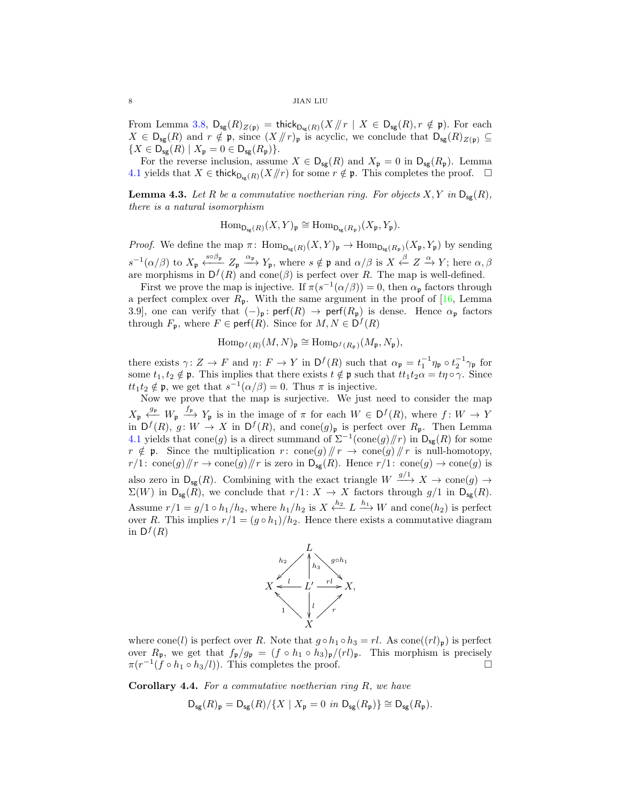From Lemma [3.8,](#page-5-1)  $D_{sg}(R)_{Z(\mathfrak{p})} = \text{thick}_{D_{sg}(R)}(X \mid r \mid X \in D_{sg}(R), r \notin \mathfrak{p})$ . For each  $X \in D_{sg}(R)$  and  $r \notin \mathfrak{p}$ , since  $(X/\!/r)_{\mathfrak{p}}$  is acyclic, we conclude that  $D_{sg}(R)_{Z(\mathfrak{p})} \subseteq$  ${X \in D_{\text{sg}}(R) | X_{\mathfrak{p}} = 0 \in D_{\text{sg}}(R_{\mathfrak{p}})}.$ 

For the reverse inclusion, assume  $X \in D_{sg}(R)$  and  $X_p = 0$  in  $D_{sg}(R_p)$ . Lemma [4.1](#page-6-2) yields that  $X \in \mathsf{thick}_{D_{\mathsf{ce}}(R)}(X/\!/r)$  for some  $r \notin \mathfrak{p}$ . This completes the proof.  $\Box$ 

<span id="page-7-1"></span>**Lemma 4.3.** Let R be a commutative noetherian ring. For objects  $X, Y$  in  $D_{\text{sg}}(R)$ , there is a natural isomorphism

 $\text{Hom}_{\mathsf{D}_{\mathsf{sg}}(R)}(X,Y)_{\mathfrak{p}} \cong \text{Hom}_{\mathsf{D}_{\mathsf{sg}}(R_{\mathfrak{p}})}(X_{\mathfrak{p}},Y_{\mathfrak{p}}).$ 

*Proof.* We define the map  $\pi$ :  $\text{Hom}_{\text{D}_{\text{ss}}(R)}(X, Y)_{\mathfrak{p}} \to \text{Hom}_{\text{D}_{\text{ss}}(R_{\mathfrak{p}})}(X_{\mathfrak{p}}, Y_{\mathfrak{p}})$  by sending  $s^{-1}(\alpha/\beta)$  to  $X_p \xleftrightarrow{s \beta_p} Z_p \xrightarrow{\alpha_p} Y_p$ , where  $s \notin \mathfrak{p}$  and  $\alpha/\beta$  is  $X \xleftarrow{\beta} Z \xrightarrow{\alpha} Y$ ; here  $\alpha, \beta$ are morphisms in  $D^f(R)$  and cone( $\beta$ ) is perfect over R. The map is well-defined.

First we prove the map is injective. If  $\pi(s^{-1}(\alpha/\beta)) = 0$ , then  $\alpha_{\mathfrak{p}}$  factors through a perfect complex over  $R_p$ . With the same argument in the proof of [\[16,](#page-14-18) Lemma 3.9], one can verify that  $(-)_{\mathfrak{p}}: \text{perf}(R) \to \text{perf}(R_{\mathfrak{p}})$  is dense. Hence  $\alpha_{\mathfrak{p}}$  factors through  $F_{\mathfrak{p}}$ , where  $F \in \text{perf}(R)$ . Since for  $M, N \in \mathsf{D}^f(R)$ 

$$
\operatorname{Hom}_{\mathsf{D}^f(R)}(M,N)_{\mathfrak{p}} \cong \operatorname{Hom}_{\mathsf{D}^f(R_{\mathfrak{p}})}(M_{\mathfrak{p}},N_{\mathfrak{p}}),
$$

there exists  $\gamma: Z \to F$  and  $\eta: F \to Y$  in  $\mathsf{D}^f(R)$  such that  $\alpha_{\mathfrak{p}} = t_1^{-1} \eta_{\mathfrak{p}} \circ t_2^{-1} \gamma_{\mathfrak{p}}$  for some  $t_1, t_2 \notin \mathfrak{p}$ . This implies that there exists  $t \notin \mathfrak{p}$  such that  $tt_1t_2\alpha = t\eta \circ \gamma$ . Since  $tt_1t_2 \notin \mathfrak{p}$ , we get that  $s^{-1}(\alpha/\beta) = 0$ . Thus  $\pi$  is injective.

Now we prove that the map is surjective. We just need to consider the map  $X_{\mathfrak{p}} \stackrel{g_{\mathfrak{p}}}{\longrightarrow} V_{\mathfrak{p}}$  is in the image of  $\pi$  for each  $W \in D^f(R)$ , where  $f: W \to Y$ in  $D^f(R)$ ,  $g: W \to X$  in  $D^f(R)$ , and cone $(g)$ <sub>p</sub> is perfect over  $R_p$ . Then Lemma [4.1](#page-6-2) yields that cone(g) is a direct summand of  $\Sigma^{-1}(\text{cone}(g)/\!/\!r)$  in  $\mathsf{D}_{\mathsf{sg}}(R)$  for some  $r \notin \mathfrak{p}$ . Since the multiplication  $r: \text{cone}(g) / r \to \text{cone}(g) / r$  is null-homotopy,  $r/1: \text{cone}(g)/\llbracket r \rightarrow \text{cone}(g)/\llbracket r \text{ is zero in } D_{\text{sg}}(R)$ . Hence  $r/1: \text{cone}(g) \rightarrow \text{cone}(g)$  is also zero in  $D_{sg}(R)$ . Combining with the exact triangle  $W \xrightarrow{g/1} X \to \text{cone}(g) \to$  $\Sigma(W)$  in  $D_{sg}(R)$ , we conclude that  $r/1: X \to X$  factors through  $g/1$  in  $D_{sg}(R)$ . Assume  $r/1 = g/1 \circ h_1/h_2$ , where  $h_1/h_2$  is  $X \xleftarrow{h_2} L \xrightarrow{h_1} W$  and cone $(h_2)$  is perfect over R. This implies  $r/1 = (g \circ h_1)/h_2$ . Hence there exists a commutative diagram in  $\mathsf{D}^f(R)$ 



where cone(l) is perfect over R. Note that  $g \circ h_1 \circ h_3 = rl$ . As cone( $(l)_p$ ) is perfect over  $R_p$ , we get that  $f_p/g_p = (f \circ h_1 \circ h_3)_p/(rl)_p$ . This morphism is precisely  $\pi(r^{-1}(f \circ h_1 \circ h_3/l))$ . This completes the proof.

<span id="page-7-0"></span>**Corollary 4.4.** For a commutative noetherian ring  $R$ , we have

$$
\mathsf{D}_{\mathsf{sg}}(R)_{\mathfrak{p}} = \mathsf{D}_{\mathsf{sg}}(R)/\{X \mid X_{\mathfrak{p}} = 0 \text{ in } \mathsf{D}_{\mathsf{sg}}(R_{\mathfrak{p}})\} \cong \mathsf{D}_{\mathsf{sg}}(R_{\mathfrak{p}}).
$$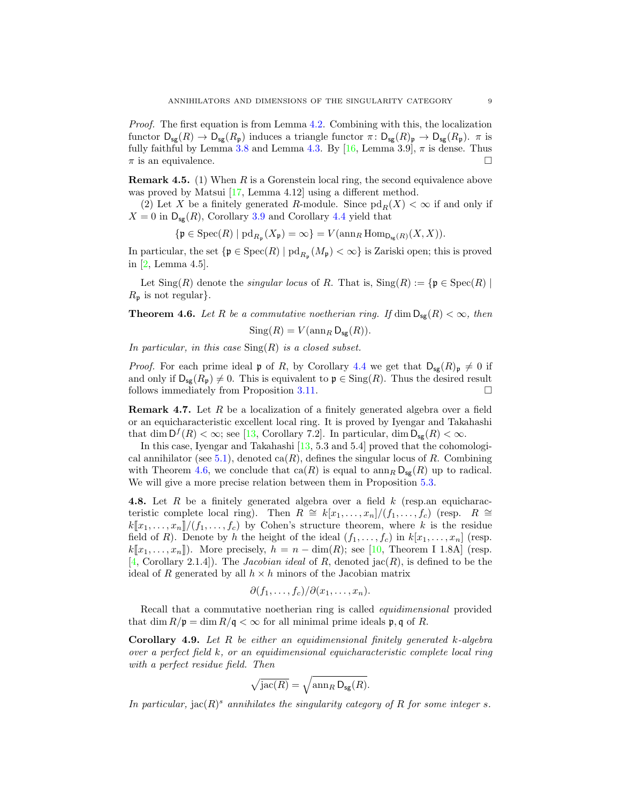Proof. The first equation is from Lemma [4.2.](#page-6-0) Combining with this, the localization functor  $D_{sg}(R) \to D_{sg}(R_p)$  induces a triangle functor  $\pi \colon D_{sg}(R)_p \to D_{sg}(R_p)$ .  $\pi$  is fully faithful by Lemma [3.8](#page-5-1) and Lemma [4.3.](#page-7-1) By [\[16,](#page-14-18) Lemma 3.9],  $\pi$  is dense. Thus  $\pi$  is an equivalence.

**Remark 4.5.** (1) When  $R$  is a Gorenstein local ring, the second equivalence above was proved by Matsui [\[17,](#page-14-19) Lemma 4.12] using a different method.

(2) Let X be a finitely generated R-module. Since  $\text{pd}_R(X) < \infty$  if and only if  $X = 0$  in  $D_{sg}(R)$ , Corollary [3.9](#page-5-2) and Corollary [4.4](#page-7-0) yield that

$$
\{\mathfrak{p} \in \mathrm{Spec}(R) \mid \mathrm{pd}_{R_{\mathfrak{p}}}(X_{\mathfrak{p}}) = \infty\} = V(\mathrm{ann}_{R} \mathrm{Hom}_{\mathrm{D}_{\mathrm{sg}}(R)}(X, X)).
$$

In particular, the set  $\{ \mathfrak{p} \in \text{Spec}(R) \mid \text{pd}_{R_{\mathfrak{p}}}(M_{\mathfrak{p}}) < \infty \}$  is Zariski open; this is proved in [\[2,](#page-14-14) Lemma 4.5].

Let  $\text{Sing}(R)$  denote the *singular locus* of R. That is,  $\text{Sing}(R) := \{ \mathfrak{p} \in \text{Spec}(R) \mid \mathfrak{p} \in \text{Spec}(R) \}$  $R_{\mathfrak{p}}$  is not regular}.

<span id="page-8-1"></span>**Theorem 4.6.** Let R be a commutative noetherian ring. If  $\dim \mathsf{D}_{\mathsf{se}}(R) < \infty$ , then

$$
Sing(R) = V(\operatorname{ann}_R \mathsf{D}_{\mathsf{sg}}(R)).
$$

In particular, in this case  $\text{Sing}(R)$  is a closed subset.

*Proof.* For each prime ideal  $\mathfrak{p}$  of R, by Corollary [4.4](#page-7-0) we get that  $D_{sg}(R)_{\mathfrak{p}}\neq 0$  if and only if  $D_{sg}(R_p) \neq 0$ . This is equivalent to  $p \in Sing(R)$ . Thus the desired result follows immediately from Proposition [3.11.](#page-5-4)

<span id="page-8-2"></span>Remark 4.7. Let R be a localization of a finitely generated algebra over a field or an equicharacteristic excellent local ring. It is proved by Iyengar and Takahashi that dim  $D^f(R) < \infty$ ; see [\[13,](#page-14-5) Corollary 7.2]. In particular, dim  $D_{sg}(R) < \infty$ .

In this case, Iyengar and Takahashi [\[13,](#page-14-5) 5.3 and 5.4] proved that the cohomologi-cal annihilator (see [5.1\)](#page-9-2), denoted  $ca(R)$ , defines the singular locus of R. Combining with Theorem [4.6,](#page-8-1) we conclude that  $ca(R)$  is equal to  $\text{ann}_R D_{sg}(R)$  up to radical. We will give a more precise relation between them in Proposition [5.3.](#page-10-0)

**4.8.** Let  $R$  be a finitely generated algebra over a field  $k$  (resp.an equicharacteristic complete local ring). Then  $R \cong k[x_1,\ldots,x_n]/(f_1,\ldots,f_c)$  (resp.  $R \cong$  $k[\![x_1,\ldots,x_n]\!]/(f_1,\ldots,f_c)$  by Cohen's structure theorem, where k is the residue field of R). Denote by h the height of the ideal  $(f_1, \ldots, f_c)$  in  $k[x_1, \ldots, x_n]$  (resp.  $k[\![x_1, \ldots, x_n]\!]$ ). More precisely,  $h = n - \dim(R)$ ; see [\[10,](#page-14-20) Theorem I 1.8A] (resp. [\[4,](#page-14-13) Corollary 2.1.4]). The *Jacobian ideal* of R, denoted  $\text{jac}(R)$ , is defined to be the ideal of R generated by all  $h \times h$  minors of the Jacobian matrix

$$
\partial(f_1,\ldots,f_c)/\partial(x_1,\ldots,x_n).
$$

Recall that a commutative noetherian ring is called *equidimensional* provided that dim  $R/\mathfrak{p} = \dim R/\mathfrak{q} < \infty$  for all minimal prime ideals  $\mathfrak{p}, \mathfrak{q}$  of R.

<span id="page-8-0"></span>**Corollary 4.9.** Let  $R$  be either an equidimensional finitely generated k-algebra over a perfect field k, or an equidimensional equicharacteristic complete local ring with a perfect residue field. Then

$$
\sqrt{\text{jac}(R)} = \sqrt{\text{ann}_R \,\mathsf{D}_{\text{sg}}(R)}.
$$

In particular, jac( $R$ )<sup>s</sup> annihilates the singularity category of R for some integer s.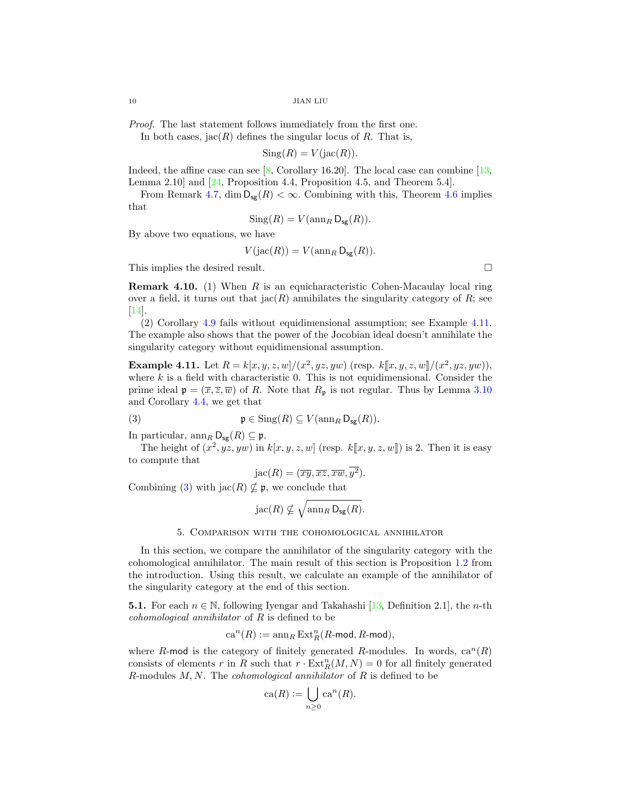Proof. The last statement follows immediately from the first one.

In both cases,  $\text{iac}(R)$  defines the singular locus of R. That is,

$$
Sing(R) = V(jac(R)).
$$

Indeed, the affine case can see  $[8,$  Corollary 16.20]. The local case can combine  $[13,$ Lemma 2.10] and [\[24,](#page-15-1) Proposition 4.4, Proposition 4.5, and Theorem 5.4].

From Remark [4.7,](#page-8-2) dim  $D_{sg}(R) < \infty$ . Combining with this, Theorem [4.6](#page-8-1) implies that

$$
Sing(R) = V(\operatorname{ann}_R \mathsf{D}_{\mathsf{sg}}(R)).
$$

By above two equations, we have

$$
V(jac(R)) = V(\operatorname{ann}_R \mathsf{D}_{\mathsf{sg}}(R)).
$$

This implies the desired result.

**Remark 4.10.** (1) When R is an equicharacteristic Cohen-Macaulay local ring over a field, it turns out that  $\text{Jac}(R)$  annihilates the singularity category of R; see [\[14\]](#page-14-3).

(2) Corollary [4.9](#page-8-0) fails without equidimensional assumption; see Example [4.11.](#page-9-0) The example also shows that the power of the Jocobian ideal doesn't annihilate the singularity category without equidimensional assumption.

<span id="page-9-0"></span>**Example 4.11.** Let  $R = k[x, y, z, w]/(x^2, yz, yw)$  (resp.  $k[[x, y, z, w]/(x^2, yz, yw))$ ), where k is a field with ebergeteristic 0. This is not equidimensional. Consider the where  $k$  is a field with characteristic 0. This is not equidimensional. Consider the prime ideal  $\mathfrak{p} = (\overline{x}, \overline{z}, \overline{w})$  of R. Note that  $R_{\mathfrak{p}}$  is not regular. Thus by Lemma [3.10](#page-5-3) and Corollary [4.4,](#page-7-0) we get that

(3) 
$$
\mathfrak{p} \in \text{Sing}(R) \subseteq V(\text{ann}_R \,\mathsf{D}_{\text{sg}}(R)).
$$

In particular,  $\operatorname{ann}_R \mathsf{D}_{\mathsf{sg}}(R) \subseteq \mathfrak{p}$ .

The height of  $(x^2, yz, yw)$  in  $k[x, y, z, w]$  (resp.  $k[[x, y, z, w]]$ ) is 2. Then it is easy compute that to compute that

<span id="page-9-3"></span>
$$
Jac(R)=(\overline{xy},\overline{xz},\overline{xw},\overline{y^2}).
$$

Combining [\(3\)](#page-9-3) with  $\mathrm{jac}(R) \nsubseteq \mathfrak{p}$ , we conclude that

$$
rac(R) \nsubseteq \sqrt{\mathrm{ann}_R \, \mathsf{D}_{\mathsf{sg}}(R)}.
$$

## 5. Comparison with the cohomological annihilator

<span id="page-9-1"></span>In this section, we compare the annihilator of the singularity category with the cohomological annihilator. The main result of this section is Proposition [1.2](#page-1-1) from the introduction. Using this result, we calculate an example of the annihilator of the singularity category at the end of this section.

<span id="page-9-2"></span>**5.1.** For each  $n \in \mathbb{N}$ , following Iyengar and Takahashi [\[13,](#page-14-5) Definition 2.1], the *n*-th cohomological annihilator of R is defined to be

$$
\mathbf{ca}^n(R):=\operatorname{ann}_R\operatorname{Ext}_R^n(R\text{-mod},R\text{-mod}),
$$

where R-mod is the category of finitely generated R-modules. In words,  $ca^{n}(R)$ consists of elements r in R such that  $r \cdot \text{Ext}^n_R(M, N) = 0$  for all finitely generated R-modules  $M, N$ . The *cohomological annihilator* of  $R$  is defined to be

$$
\operatorname{ca}(R) := \bigcup_{n \ge 0} \operatorname{ca}^n(R).
$$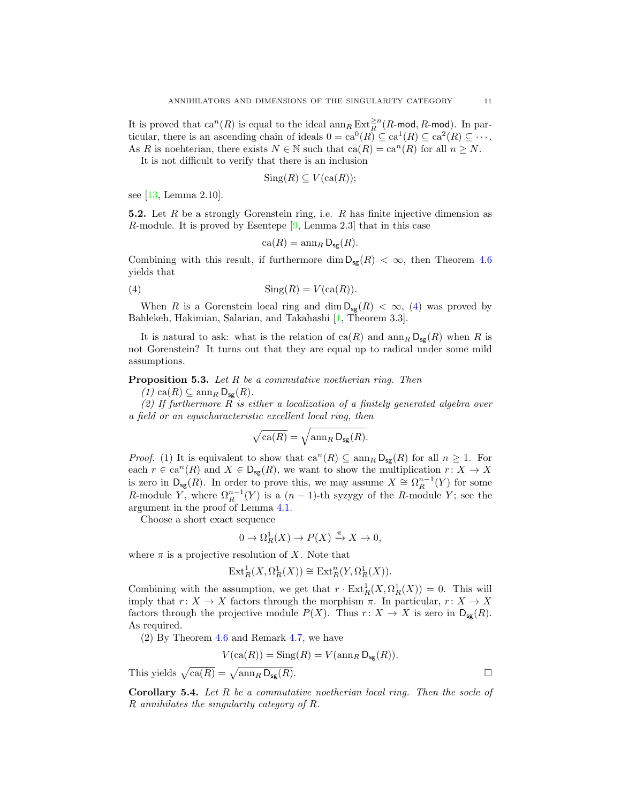It is proved that  $ca^n(R)$  is equal to the ideal  $\ann_R Ext_R^{\geq n}(R\text{-mod}, R\text{-mod})$ . In particular, there is an ascending chain of ideals  $0 = \text{ca}^0(R) \subseteq \text{ca}^1(R) \subseteq \text{ca}^2(R) \subseteq \cdots$ . As R is no thereian, there exists  $N \in \mathbb{N}$  such that  $ca(R) = ca^n(R)$  for all  $n \geq N$ .

It is not difficult to verify that there is an inclusion

$$
Sing(R) \subseteq V(\text{ca}(R));
$$

see [\[13,](#page-14-5) Lemma 2.10].

**5.2.** Let R be a strongly Gorenstein ring, i.e. R has finite injective dimension as R-module. It is proved by Esentepe [\[9,](#page-14-4) Lemma 2.3] that in this case

<span id="page-10-2"></span>
$$
\operatorname{ca}(R) = \operatorname{ann}_R \mathsf{D}_{\mathsf{sg}}(R).
$$

Combining with this result, if furthermore dim  $D_{sg}(R) < \infty$ , then Theorem [4.6](#page-8-1) yields that

(4) Sing(R) = V (ca(R)).

When R is a Gorenstein local ring and dim  $D_{\text{sg}}(R) < \infty$ , [\(4\)](#page-10-2) was proved by Bahlekeh, Hakimian, Salarian, and Takahashi [\[1,](#page-14-22) Theorem 3.3].

It is natural to ask: what is the relation of  $ca(R)$  and  $\lim_{R} D_{\mathbf{S}g}(R)$  when R is not Gorenstein? It turns out that they are equal up to radical under some mild assumptions.

<span id="page-10-0"></span>**Proposition 5.3.** Let  $R$  be a commutative noetherian ring. Then

 $(1)$  ca $(R) \subseteq \text{ann}_{R} \mathsf{D}_{\mathsf{sg}}(R)$ .

(2) If furthermore R is either a localization of a finitely generated algebra over a field or an equicharacteristic excellent local ring, then

$$
\sqrt{\operatorname{ca}(R)} = \sqrt{\operatorname{ann}_R \mathsf{D}_{\mathsf{sg}}(R)}.
$$

*Proof.* (1) It is equivalent to show that  $ca^{n}(R) \subseteq \text{ann}_{R} D_{\text{sg}}(R)$  for all  $n \geq 1$ . For each  $r \in \text{ca}^n(R)$  and  $X \in \mathsf{D}_{\text{sg}}(R)$ , we want to show the multiplication  $r: X \to X$ is zero in  $D_{sg}(R)$ . In order to prove this, we may assume  $X \cong \Omega_R^{n-1}(Y)$  for some R-module Y, where  $\Omega_R^{n-1}(Y)$  is a  $(n-1)$ -th syzygy of the R-module Y; see the argument in the proof of Lemma [4.1.](#page-6-2)

Choose a short exact sequence

$$
0 \to \Omega_R^1(X) \to P(X) \xrightarrow{\pi} X \to 0,
$$

where  $\pi$  is a projective resolution of X. Note that

$$
\operatorname{Ext}^1_R(X,\Omega^1_R(X))\cong \operatorname{Ext}^n_R(Y,\Omega^1_R(X)).
$$

Combining with the assumption, we get that  $r \cdot \text{Ext}^1_R(X, \Omega^1_R(X)) = 0$ . This will imply that  $r: X \to X$  factors through the morphism  $\pi$ . In particular,  $r: X \to X$ factors through the projective module  $P(X)$ . Thus  $r: X \to X$  is zero in  $D_{sg}(R)$ . As required.

(2) By Theorem [4.6](#page-8-1) and Remark [4.7,](#page-8-2) we have

$$
V(\text{ca}(R)) = \text{Sing}(R) = V(\text{ann}_{R} \mathsf{D}_{\text{sg}}(R)).
$$

This yields  $\sqrt{\text{ca}(R)} = \sqrt{\text{ann}_R \text{D}_{\text{sg}}(R)}$ .

<span id="page-10-1"></span>Corollary 5.4. Let R be a commutative noetherian local ring. Then the socle of R annihilates the singularity category of R.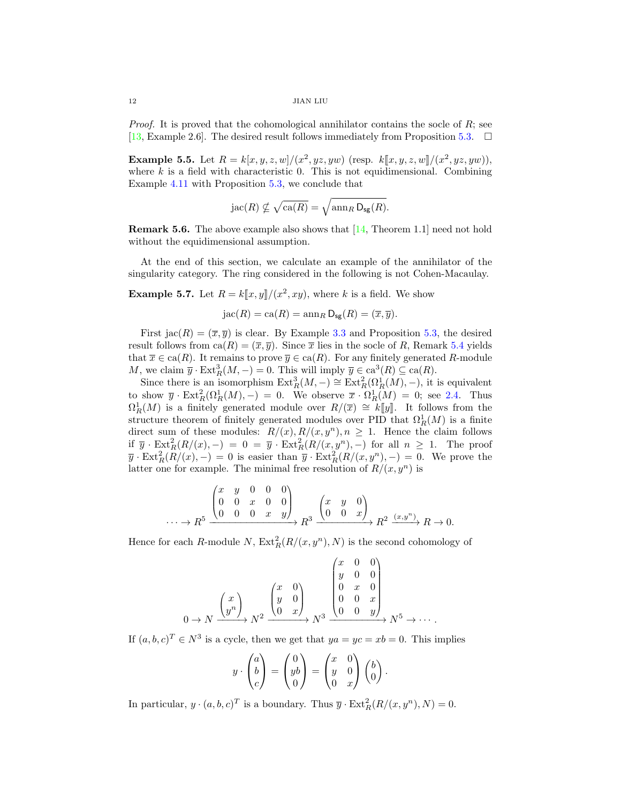*Proof.* It is proved that the cohomological annihilator contains the socle of  $R$ ; see [\[13,](#page-14-5) Example 2.6]. The desired result follows immediately from Proposition [5.3.](#page-10-0)  $\Box$ 

**Example 5.5.** Let  $R = k[x, y, z, w]/(x^2, yz, yw)$  (resp.  $k[[x, y, z, w]/(x^2, yz, yw))$ ), where  $k$  is a field with characteristic 0. This is not equidimensional. Combining Example [4.11](#page-9-0) with Proposition [5.3,](#page-10-0) we conclude that

$$
Jac(R) \nsubseteq \sqrt{ca(R)} = \sqrt{\operatorname{ann}_R D_{\text{sg}}(R)}.
$$

Remark 5.6. The above example also shows that [\[14,](#page-14-3) Theorem 1.1] need not hold without the equidimensional assumption.

At the end of this section, we calculate an example of the annihilator of the singularity category. The ring considered in the following is not Cohen-Macaulay.

<span id="page-11-0"></span>**Example 5.7.** Let  $R = k[[x, y]]/(x^2, xy)$ , where k is a field. We show

$$
jac(R) = ca(R) = \operatorname{ann}_R D_{\text{sg}}(R) = (\overline{x}, \overline{y}).
$$

First  $\text{jac}(R) = (\overline{x}, \overline{y})$  is clear. By Example [3.3](#page-4-1) and Proposition [5.3,](#page-10-0) the desired result follows from  $ca(R) = (\overline{x}, \overline{y})$ . Since  $\overline{x}$  lies in the socle of R, Remark [5.4](#page-10-1) yields that  $\overline{x} \in \text{ca}(R)$ . It remains to prove  $\overline{y} \in \text{ca}(R)$ . For any finitely generated R-module M, we claim  $\overline{y} \cdot \text{Ext}_{R}^{3}(M, -) = 0$ . This will imply  $\overline{y} \in \text{ca}^{3}(R) \subseteq \text{ca}(R)$ .

Since there is an isomorphism  $\text{Ext}^3_R(M, -) \cong \text{Ext}^2_R(\Omega_R^1(M), -)$ , it is equivalent to show  $\bar{y} \cdot \text{Ext}^2_R(\Omega_R^1(M),-) = 0$ . We observe  $\bar{x} \cdot \Omega_R^1(M) = 0$ ; see [2.4.](#page-3-2) Thus  $\Omega_R^1(M)$  is a finitely generated module over  $R/(\overline{x}) \cong k[[y]]$ . It follows from the structure theorem of finitely generated modules over PID that  $\Omega^1(M)$  is a finite structure theorem of finitely generated modules over PID that  $\Omega_R^1(M)$  is a finite direct sum of these modules:  $R/(x)$ ,  $R/(x, y^n)$ ,  $n \geq 1$ . Hence the claim follows if  $\overline{y} \cdot \text{Ext}^2_R(R/(x), -) = 0 = \overline{y} \cdot \text{Ext}^2_R(R/(x, y^n), -)$  for all  $n \ge 1$ . The proof  $\overline{y} \cdot \text{Ext}^2_R(R/(x), -) = 0$  is easier than  $\overline{y} \cdot \text{Ext}^2_R(R/(x, y^n), -) = 0$ . We prove the latter one for example. The minimal free resolution of  $R/(x, y^n)$  is

$$
\cdots \longrightarrow R^5 \xrightarrow{\begin{pmatrix} x & y & 0 & 0 & 0 \\ 0 & 0 & x & 0 & 0 \\ 0 & 0 & 0 & x & y \end{pmatrix}} R^3 \xrightarrow{\begin{pmatrix} x & y & 0 \\ 0 & 0 & x \end{pmatrix}} R^2 \xrightarrow{(x,y^n)} R \longrightarrow 0.
$$

Hence for each R-module N,  $\text{Ext}_{R}^{2}(R/(x, y^{n}), N)$  is the second cohomology of

$$
0 \to N \xrightarrow{\begin{pmatrix} x \\ y^n \end{pmatrix}} N^2 \xrightarrow{\begin{pmatrix} x & 0 \\ y & 0 \\ 0 & x \end{pmatrix}} N^3 \xrightarrow{\begin{pmatrix} x & 0 & 0 \\ 0 & y & 0 \\ 0 & 0 & x \\ 0 & 0 & y \end{pmatrix}} N^5 \to \cdots.
$$

If  $(a, b, c)^T \in N^3$  is a cycle, then we get that  $ya = ye = xb = 0$ . This implies

$$
y \cdot \begin{pmatrix} a \\ b \\ c \end{pmatrix} = \begin{pmatrix} 0 \\ yb \\ 0 \end{pmatrix} = \begin{pmatrix} x & 0 \\ y & 0 \\ 0 & x \end{pmatrix} \begin{pmatrix} b \\ 0 \end{pmatrix}
$$

.

In particular,  $y \cdot (a, b, c)^T$  is a boundary. Thus  $\overline{y} \cdot \text{Ext}^2_R(R/(x, y^n), N) = 0$ .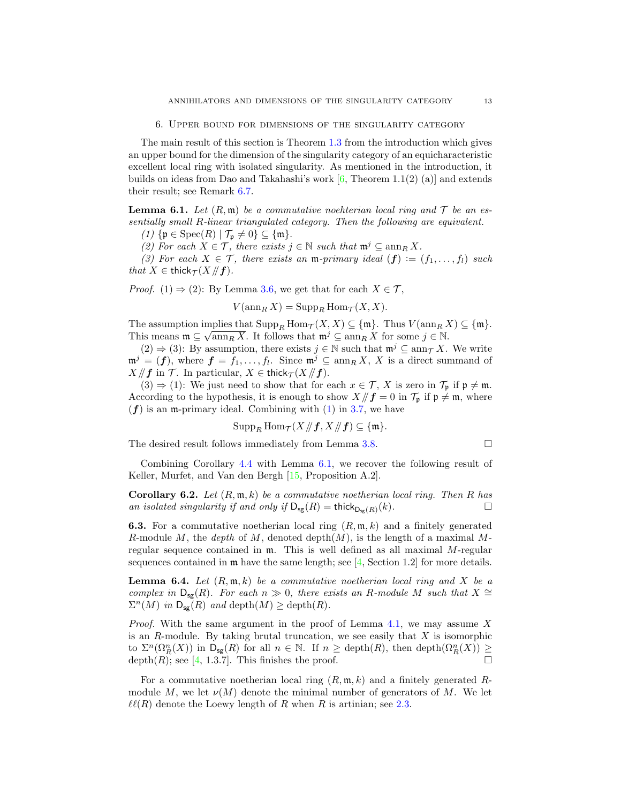The main result of this section is Theorem [1.3](#page-2-0) from the introduction which gives an upper bound for the dimension of the singularity category of an equicharacteristic excellent local ring with isolated singularity. As mentioned in the introduction, it builds on ideas from Dao and Takahashi's work  $[6,$  Theorem 1.1(2) (a)] and extends their result; see Remark [6.7.](#page-13-1)

<span id="page-12-1"></span>**Lemma 6.1.** Let  $(R, \mathfrak{m})$  be a commutative noehterian local ring and  $T$  be an essentially small R-linear triangulated category. Then the following are equivalent.

(1) { $\mathfrak{p} \in \text{Spec}(R) \mid \mathcal{T}_{\mathfrak{p}} \neq 0$ }  $\subseteq \{\mathfrak{m}\}.$ 

(2) For each  $X \in \mathcal{T}$ , there exists  $j \in \mathbb{N}$  such that  $\mathfrak{m}^j \subseteq \operatorname{ann}_R X$ .

(3) For each  $X \in \mathcal{T}$ , there exists an m-primary ideal  $(f) := (f_1, \ldots, f_l)$  such that  $X \in \text{thick}_{\mathcal{T}}(X /\!\!/ \textbf{f}).$ 

*Proof.* (1)  $\Rightarrow$  (2): By Lemma [3.6,](#page-5-0) we get that for each  $X \in \mathcal{T}$ ,

 $V(\operatorname{ann}_RX) = \operatorname{Supp}_R \operatorname{Hom}_{\mathcal{T}}(X,X).$ 

The assumption implies that  $\text{Supp}_R \text{Hom}_{\mathcal{T}}(X,X) \subseteq \{\mathfrak{m}\}\$ . Thus  $V(\text{ann}_R X) \subseteq \{\mathfrak{m}\}\$ . This means  $\mathfrak{m} \subseteq \sqrt{\text{ann}_R X}$ . It follows that  $\mathfrak{m}^j \subseteq \text{ann}_R X$  for some  $j \in \mathbb{N}$ .

 $(2) \Rightarrow (3)$ : By assumption, there exists  $j \in \mathbb{N}$  such that  $\mathfrak{m}^j \subseteq \text{ann}_{\mathcal{T}} X$ . We write  $\mathfrak{m}^j = (f)$ , where  $f = f_1, \ldots, f_l$ . Since  $\mathfrak{m}^j \subseteq \operatorname{ann}_R X$ , X is a direct summand of  $X/\!\!/ f$  in  $\mathcal{T}$ . In particular,  $X \in \mathsf{thick}_{\mathcal{T}} (X/\!\!/ f)$ .

(3)  $\Rightarrow$  (1): We just need to show that for each  $x \in \mathcal{T}$ , X is zero in  $\mathcal{T}_p$  if  $p \neq m$ . According to the hypothesis, it is enough to show  $X/\mathbf{f} = 0$  in  $\mathcal{T}_{p}$  if  $p \neq m$ , where  $(f)$  is an m-primary ideal. Combining with  $(1)$  in [3.7,](#page-5-6) we have

$$
\operatorname{Supp}_R \operatorname{Hom}_{\mathcal{T}}(X/\!\!/ \boldsymbol{f}, X/\!\!/ \boldsymbol{f}) \subseteq \{\mathfrak{m}\}.
$$

The desired result follows immediately from Lemma [3.8.](#page-5-1)

Combining Corollary [4.4](#page-7-0) with Lemma [6.1,](#page-12-1) we recover the following result of Keller, Murfet, and Van den Bergh [\[15,](#page-14-9) Proposition A.2].

<span id="page-12-0"></span>**Corollary 6.2.** Let  $(R, \mathfrak{m}, k)$  be a commutative noetherian local ring. Then R has an isolated singularity if and only if  $D_{sg}(R) = \text{thick}_{D_{sg}(R)}(k)$ .

**6.3.** For a commutative noetherian local ring  $(R, \mathfrak{m}, k)$  and a finitely generated R-module M, the depth of M, denoted depth $(M)$ , is the length of a maximal Mregular sequence contained in m. This is well defined as all maximal M-regular sequences contained in  $\mathfrak{m}$  have the same length; see [\[4,](#page-14-13) Section 1.2] for more details.

<span id="page-12-2"></span>**Lemma 6.4.** Let  $(R, \mathfrak{m}, k)$  be a commutative noetherian local ring and X be a complex in  $D_{\text{sg}}(R)$ . For each  $n \gg 0$ , there exists an R-module M such that  $X \cong$  $\Sigma^{n}(M)$  in  $\mathsf{D}_{\mathsf{sg}}(R)$  and depth $(M) \geq \text{depth}(R)$ .

*Proof.* With the same argument in the proof of Lemma [4.1,](#page-6-2) we may assume  $X$ is an  $R$ -module. By taking brutal truncation, we see easily that  $X$  is isomorphic to  $\Sigma^n(\Omega^n_R(X))$  in  $\mathsf{D}_{\mathsf{sg}}(R)$  for all  $n \in \mathbb{N}$ . If  $n \geq \text{depth}(R)$ , then  $\text{depth}(\Omega^n_R(X)) \geq$ depth $(R)$ ; see [\[4,](#page-14-13) 1.3.7]. This finishes the proof.

For a commutative noetherian local ring  $(R, \mathfrak{m}, k)$  and a finitely generated Rmodule M, we let  $\nu(M)$  denote the minimal number of generators of M. We let  $\ell\ell(R)$  denote the Loewy length of R when R is artinian; see [2.3.](#page-3-0)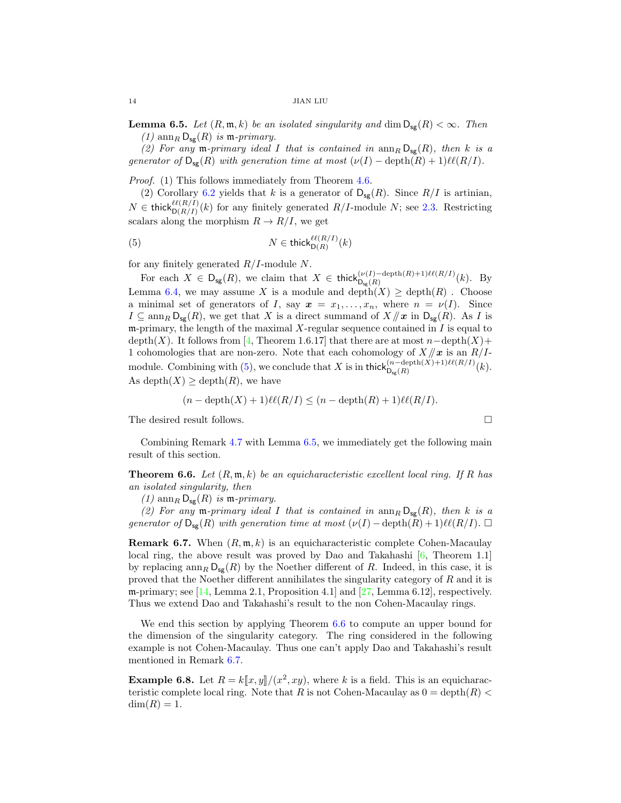<span id="page-13-3"></span>**Lemma 6.5.** Let  $(R, \mathfrak{m}, k)$  be an isolated singularity and dim  $D_{\text{sg}}(R) < \infty$ . Then  $(1)$  ann<sub>R</sub>  $D_{sg}(R)$  is m-primary.

(2) For any m-primary ideal I that is contained in  $\text{ann}_R D_{\text{sg}}(R)$ , then k is a generator of  $D_{\text{sg}}(R)$  with generation time at most  $(\nu(I) - \text{depth}(R) + 1)\ell(\ell(R/I)).$ 

Proof. (1) This follows immediately from Theorem [4.6.](#page-8-1)

(2) Corollary [6.2](#page-12-0) yields that k is a generator of  $D_{sg}(R)$ . Since  $R/I$  is artinian,  $N \in \text{thick}_{\mathsf{D}(R/I)}^{\ell\ell(R/I)}(k)$  for any finitely generated  $R/I$ -module N; see [2.3.](#page-3-0) Restricting scalars along the morphism  $R \to R/I$ , we get

<span id="page-13-2"></span>(5) 
$$
N \in \mathsf{thick}_{\mathsf{D}(R)}^{\ell\ell(R/I)}(k)
$$

for any finitely generated  $R/I$ -module N.

For each  $X \in D_{sg}(R)$ , we claim that  $X \in \text{thick}_{D_{sg}(R)}^{(\nu(I) - \text{depth}(R) + 1)\ell(\ell(R/I)}(k)$ . By Lemma [6.4,](#page-12-2) we may assume X is a module and depth $(X) \geq$  depth $(R)$ . Choose a minimal set of generators of I, say  $x = x_1, \ldots, x_n$ , where  $n = \nu(I)$ . Since  $I \subseteq \text{ann}_{R} \mathsf{D}_{\mathsf{sg}}(R)$ , we get that X is a direct summand of  $X/\!\!/ \mathbf{x}$  in  $\mathsf{D}_{\mathsf{sg}}(R)$ . As I is m-primary, the length of the maximal  $X$ -regular sequence contained in  $I$  is equal to depth(X). It follows from [\[4,](#page-14-13) Theorem 1.6.17] that there are at most  $n-\text{depth}(X)+$ 1 cohomologies that are non-zero. Note that each cohomology of  $X/\ell x$  is an  $R/I$ -module. Combining with [\(5\)](#page-13-2), we conclude that X is in thick $\bigcup_{S_{\rm sg}(R)}^{(n-\text{depth}(X)+1)\ell\ell(R/I)}(k)$ . As depth $(X) \geq$  depth $(R)$ , we have

$$
(n - \operatorname{depth}(X) + 1)\ell(\mathcal{R}/I) \le (n - \operatorname{depth}(R) + 1)\ell(\mathcal{R}/I).
$$

The desired result follows.

Combining Remark [4.7](#page-8-2) with Lemma [6.5,](#page-13-3) we immediately get the following main result of this section.

<span id="page-13-0"></span>**Theorem 6.6.** Let  $(R, \mathfrak{m}, k)$  be an equicharacteristic excellent local ring. If R has an isolated singularity, then

(1)  $\text{ann}_R \mathsf{D}_{\text{sg}}(R)$  is  $\mathfrak{m}\text{-}primary$ .

(2) For any m-primary ideal I that is contained in  $\text{ann}_R D_{\text{sg}}(R)$ , then k is a generator of  $D_{sg}(R)$  with generation time at most  $(\nu(I) - \text{depth}(R) + 1)\ell(\ell(R/I))$ .  $\Box$ 

<span id="page-13-1"></span>**Remark 6.7.** When  $(R, \mathfrak{m}, k)$  is an equicharacteristic complete Cohen-Macaulay local ring, the above result was proved by Dao and Takahashi  $[6,$  Theorem 1.1] by replacing  $\dim_R D_{\mathsf{S}g}(R)$  by the Noether different of R. Indeed, in this case, it is proved that the Noether different annihilates the singularity category of R and it is m-primary; see  $[14$ , Lemma 2.1, Proposition 4.1 and  $[27]$ , Lemma 6.12, respectively. Thus we extend Dao and Takahashi's result to the non Cohen-Macaulay rings.

We end this section by applying Theorem [6.6](#page-13-0) to compute an upper bound for the dimension of the singularity category. The ring considered in the following example is not Cohen-Macaulay. Thus one can't apply Dao and Takahashi's result mentioned in Remark [6.7.](#page-13-1)

**Example 6.8.** Let  $R = k[[x, y]]/(x^2, xy)$ , where k is a field. This is an equicharactoristic complete local ring. Note that B is not Cohen Magazing a  $0 = \text{dorth}(R)$ teristic complete local ring. Note that R is not Cohen-Macaulay as  $0 = \text{depth}(R)$  $dim(R) = 1.$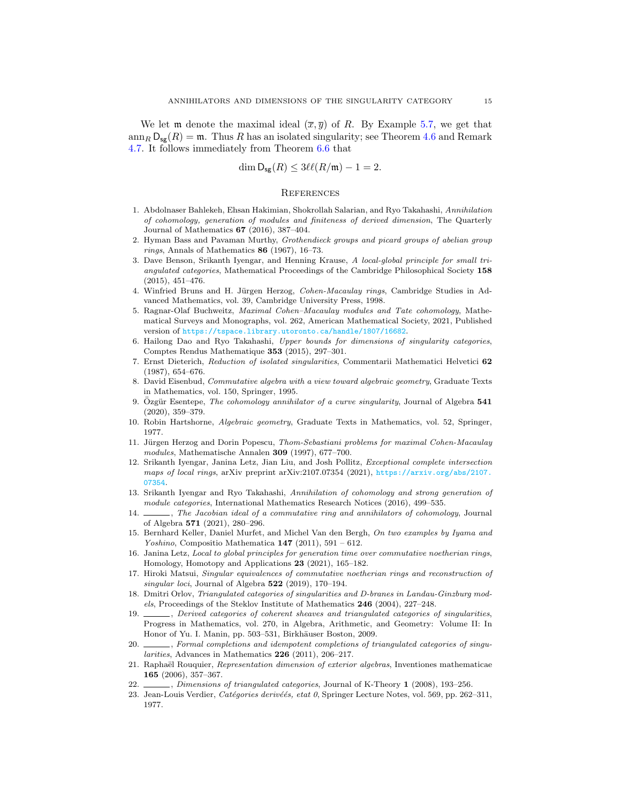We let **m** denote the maximal ideal  $(\overline{x}, \overline{y})$  of R. By Example [5.7,](#page-11-0) we get that  $\text{ann}_R D_{\text{sg}}(R) = \mathfrak{m}$ . Thus R has an isolated singularity; see Theorem [4.6](#page-8-1) and Remark [4.7.](#page-8-2) It follows immediately from Theorem [6.6](#page-13-0) that

$$
\dim \mathsf{D}_{\mathsf{sg}}(R) \le 3\ell\ell(R/\mathfrak{m}) - 1 = 2.
$$

#### **REFERENCES**

- <span id="page-14-22"></span>1. Abdolnaser Bahlekeh, Ehsan Hakimian, Shokrollah Salarian, and Ryo Takahashi, Annihilation of cohomology, generation of modules and finiteness of derived dimension, The Quarterly Journal of Mathematics 67 (2016), 387–404.
- <span id="page-14-14"></span>2. Hyman Bass and Pavaman Murthy, Grothendieck groups and picard groups of abelian group  $rings$ , Annals of Mathematics 86 (1967), 16–73.
- <span id="page-14-15"></span>3. Dave Benson, Srikanth Iyengar, and Henning Krause, A local-global principle for small triangulated categories, Mathematical Proceedings of the Cambridge Philosophical Society 158 (2015), 451–476.
- <span id="page-14-13"></span>4. Winfried Bruns and H. Jürgen Herzog, Cohen-Macaulay rings, Cambridge Studies in Advanced Mathematics, vol. 39, Cambridge University Press, 1998.
- <span id="page-14-0"></span>5. Ragnar-Olaf Buchweitz, Maximal Cohen–Macaulay modules and Tate cohomology, Mathematical Surveys and Monographs, vol. 262, American Mathematical Society, 2021, Published version of <https://tspace.library.utoronto.ca/handle/1807/16682>.
- <span id="page-14-10"></span>6. Hailong Dao and Ryo Takahashi, Upper bounds for dimensions of singularity categories, Comptes Rendus Mathematique 353 (2015), 297–301.
- <span id="page-14-6"></span>7. Ernst Dieterich, Reduction of isolated singularities, Commentarii Mathematici Helvetici 62 (1987), 654–676.
- <span id="page-14-21"></span>8. David Eisenbud, Commutative algebra with a view toward algebraic geometry, Graduate Texts in Mathematics, vol. 150, Springer, 1995.
- <span id="page-14-4"></span>9. Özgür Esentepe, The cohomology annihilator of a curve singularity, Journal of Algebra  $541$ (2020), 359–379.
- <span id="page-14-20"></span>10. Robin Hartshorne, Algebraic geometry, Graduate Texts in Mathematics, vol. 52, Springer, 1977.
- <span id="page-14-17"></span>11. Jürgen Herzog and Dorin Popescu, Thom-Sebastiani problems for maximal Cohen-Macaulay modules, Mathematische Annalen 309 (1997), 677–700.
- <span id="page-14-11"></span>12. Srikanth Iyengar, Janina Letz, Jian Liu, and Josh Pollitz, Exceptional complete intersection maps of local rings, arXiv preprint arXiv:2107.07354 (2021), [https://arxiv.org/abs/2107.](https://arxiv.org/abs/2107.07354) [07354](https://arxiv.org/abs/2107.07354).
- <span id="page-14-5"></span>13. Srikanth Iyengar and Ryo Takahashi, Annihilation of cohomology and strong generation of module categories, International Mathematics Research Notices (2016), 499–535.
- <span id="page-14-3"></span>14.  $\Box$ , The Jacobian ideal of a commutative ring and annihilators of cohomology, Journal of Algebra 571 (2021), 280–296.
- <span id="page-14-9"></span>15. Bernhard Keller, Daniel Murfet, and Michel Van den Bergh, On two examples by Iyama and Yoshino, Compositio Mathematica  $147$  (2011), 591 – 612.
- <span id="page-14-18"></span>16. Janina Letz, Local to global principles for generation time over commutative noetherian rings, Homology, Homotopy and Applications 23 (2021), 165–182.
- <span id="page-14-19"></span>17. Hiroki Matsui, Singular equivalences of commutative noetherian rings and reconstruction of singular loci, Journal of Algebra  $522$  (2019), 170–194.
- <span id="page-14-1"></span>18. Dmitri Orlov, Triangulated categories of singularities and D-branes in Landau-Ginzburg models, Proceedings of the Steklov Institute of Mathematics 246 (2004), 227–248.
- <span id="page-14-2"></span>19. , Derived categories of coherent sheaves and triangulated categories of singularities, Progress in Mathematics, vol. 270, in Algebra, Arithmetic, and Geometry: Volume II: In Honor of Yu. I. Manin, pp. 503–531, Birkhäuser Boston, 2009.
- <span id="page-14-16"></span>20.  $\_\_\_\_\$ gormal completions and idempotent completions of triangulated categories of singularities, Advances in Mathematics 226 (2011), 206–217.
- <span id="page-14-8"></span>21. Raphaël Rouquier, Representation dimension of exterior algebras, Inventiones mathematicae 165 (2006), 357–367.
- <span id="page-14-7"></span>22. , Dimensions of triangulated categories, Journal of K-Theory 1 (2008), 193-256.
- <span id="page-14-12"></span>23. Jean-Louis Verdier, Catégories derivéés, etat 0, Springer Lecture Notes, vol. 569, pp. 262–311, 1977.